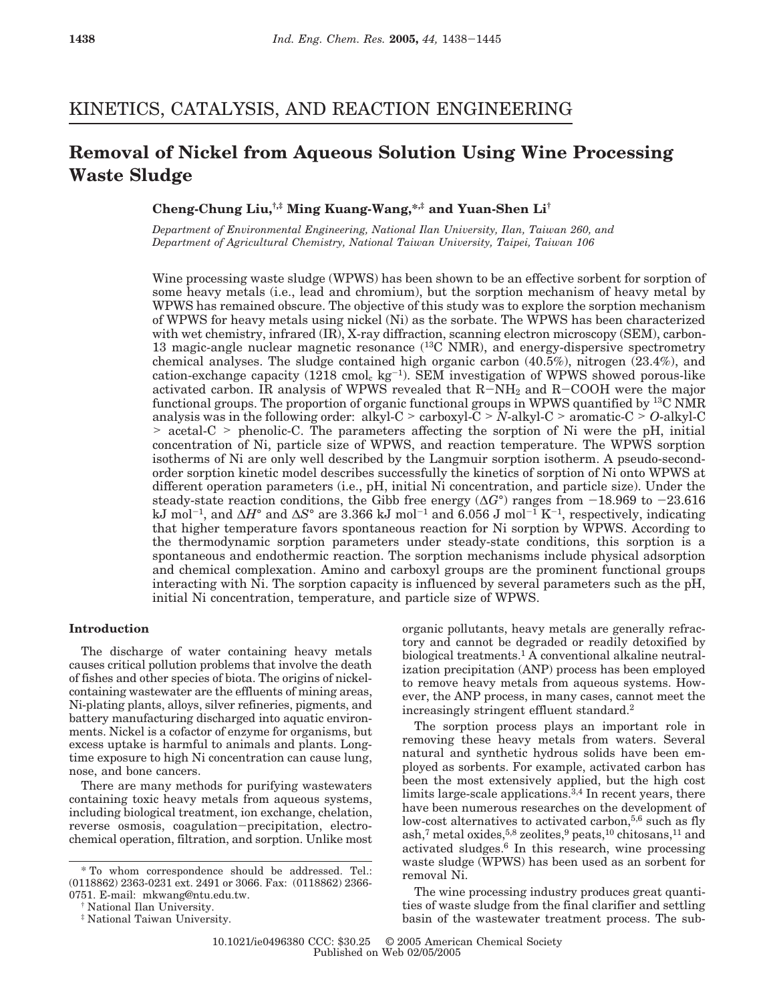## KINETICS, CATALYSIS, AND REACTION ENGINEERING

# **Removal of Nickel from Aqueous Solution Using Wine Processing Waste Sludge**

**Cheng-Chung Liu,†,‡ Ming Kuang-Wang,\*,‡ and Yuan-Shen Li†**

*Department of Environmental Engineering, National Ilan University, Ilan, Taiwan 260, and Department of Agricultural Chemistry, National Taiwan University, Taipei, Taiwan 106*

Wine processing waste sludge (WPWS) has been shown to be an effective sorbent for sorption of some heavy metals (i.e., lead and chromium), but the sorption mechanism of heavy metal by WPWS has remained obscure. The objective of this study was to explore the sorption mechanism of WPWS for heavy metals using nickel (Ni) as the sorbate. The WPWS has been characterized with wet chemistry, infrared (IR), X-ray diffraction, scanning electron microscopy (SEM), carbon-13 magic-angle nuclear magnetic resonance (13C NMR), and energy-dispersive spectrometry chemical analyses. The sludge contained high organic carbon (40.5%), nitrogen (23.4%), and cation-exchange capacity  $(1218 \text{ cmol}_c \text{ kg}^{-1})$ . SEM investigation of WPWS showed porous-like activated carbon. IR analysis of WPWS revealed that R-NH2 and R-COOH were the major functional groups. The proportion of organic functional groups in WPWS quantified by 13C NMR analysis was in the following order: alkyl-C > carboxyl-C > *<sup>N</sup>*-alkyl-C > aromatic-C > *<sup>O</sup>*-alkyl-C > acetal-C > phenolic-C. The parameters affecting the sorption of Ni were the pH, initial concentration of Ni, particle size of WPWS, and reaction temperature. The WPWS sorption isotherms of Ni are only well described by the Langmuir sorption isotherm. A pseudo-secondorder sorption kinetic model describes successfully the kinetics of sorption of Ni onto WPWS at different operation parameters (i.e., pH, initial Ni concentration, and particle size). Under the steady-state reaction conditions, the Gibb free energy ( $\Delta G^{\circ}$ ) ranges from -18.969 to -23.616 steady-state reaction conditions, the Gibb free energy (∆*G*°) ranges from -18.969 to -23.616 kJ mol-1, and ∆*H*° and ∆*S*° are 3.366 kJ mol-<sup>1</sup> and 6.056 J mol-<sup>1</sup> K-1, respectively, indicating that higher temperature favors spontaneous reaction for Ni sorption by WPWS. According to the thermodynamic sorption parameters under steady-state conditions, this sorption is a spontaneous and endothermic reaction. The sorption mechanisms include physical adsorption and chemical complexation. Amino and carboxyl groups are the prominent functional groups interacting with Ni. The sorption capacity is influenced by several parameters such as the pH, initial Ni concentration, temperature, and particle size of WPWS.

### **Introduction**

The discharge of water containing heavy metals causes critical pollution problems that involve the death of fishes and other species of biota. The origins of nickelcontaining wastewater are the effluents of mining areas, Ni-plating plants, alloys, silver refineries, pigments, and battery manufacturing discharged into aquatic environments. Nickel is a cofactor of enzyme for organisms, but excess uptake is harmful to animals and plants. Longtime exposure to high Ni concentration can cause lung, nose, and bone cancers.

There are many methods for purifying wastewaters containing toxic heavy metals from aqueous systems, including biological treatment, ion exchange, chelation, reverse osmosis, coagulation-precipitation, electrochemical operation, filtration, and sorption. Unlike most organic pollutants, heavy metals are generally refractory and cannot be degraded or readily detoxified by biological treatments.1 A conventional alkaline neutralization precipitation (ANP) process has been employed to remove heavy metals from aqueous systems. However, the ANP process, in many cases, cannot meet the increasingly stringent effluent standard.2

The sorption process plays an important role in removing these heavy metals from waters. Several natural and synthetic hydrous solids have been employed as sorbents. For example, activated carbon has been the most extensively applied, but the high cost limits large-scale applications.<sup>3,4</sup> In recent years, there have been numerous researches on the development of low-cost alternatives to activated carbon,<sup>5,6</sup> such as fly ash,<sup>7</sup> metal oxides,<sup>5,8</sup> zeolites,<sup>9</sup> peats,<sup>10</sup> chitosans,<sup>11</sup> and activated sludges.6 In this research, wine processing waste sludge (WPWS) has been used as an sorbent for removal Ni.

The wine processing industry produces great quantities of waste sludge from the final clarifier and settling basin of the wastewater treatment process. The sub-

<sup>\*</sup> To whom correspondence should be addressed. Tel.: (0118862) 2363-0231 ext. 2491 or 3066. Fax: (0118862) 2366- 0751. E-mail: mkwang@ntu.edu.tw.

<sup>†</sup> National Ilan University.

<sup>‡</sup> National Taiwan University.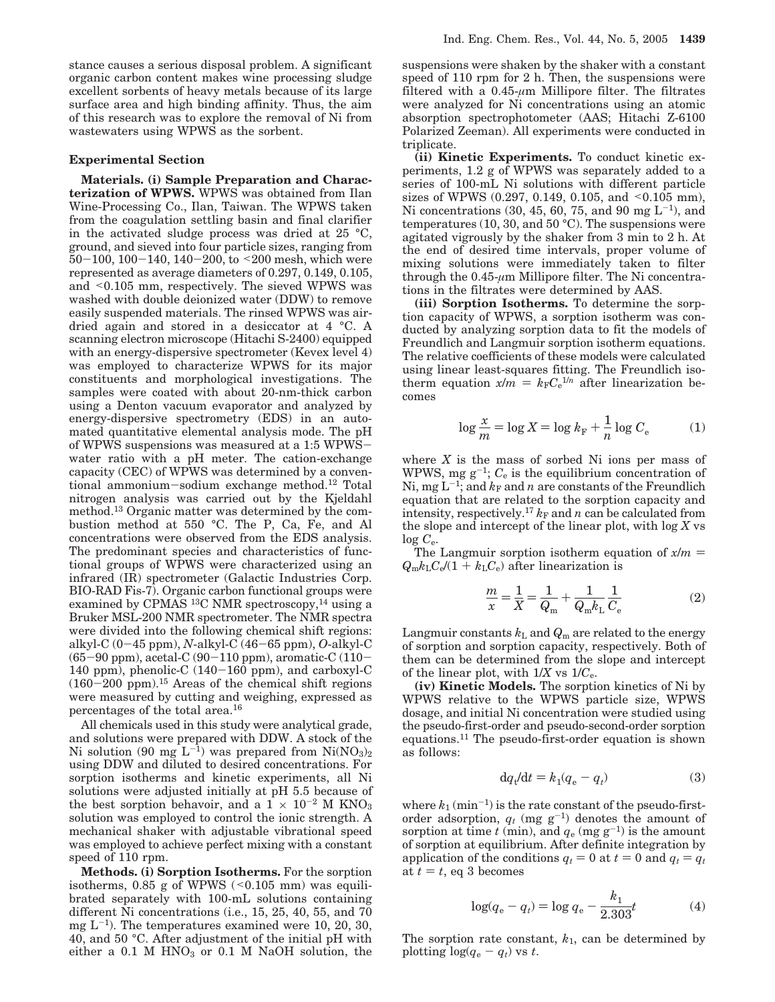stance causes a serious disposal problem. A significant organic carbon content makes wine processing sludge excellent sorbents of heavy metals because of its large surface area and high binding affinity. Thus, the aim of this research was to explore the removal of Ni from wastewaters using WPWS as the sorbent.

#### **Experimental Section**

**Materials. (i) Sample Preparation and Characterization of WPWS.** WPWS was obtained from Ilan Wine-Processing Co., Ilan, Taiwan. The WPWS taken from the coagulation settling basin and final clarifier in the activated sludge process was dried at 25 °C, ground, and sieved into four particle sizes, ranging from  $50-100$ ,  $100-140$ ,  $140-200$ , to  $\leq 200$  mesh, which were represented as average diameters of 0.297, 0.149, 0.105, and <0.105 mm, respectively. The sieved WPWS was washed with double deionized water (DDW) to remove easily suspended materials. The rinsed WPWS was airdried again and stored in a desiccator at 4 °C. A scanning electron microscope (Hitachi S-2400) equipped with an energy-dispersive spectrometer (Kevex level 4) was employed to characterize WPWS for its major constituents and morphological investigations. The samples were coated with about 20-nm-thick carbon using a Denton vacuum evaporator and analyzed by energy-dispersive spectrometry (EDS) in an automated quantitative elemental analysis mode. The pH of WPWS suspensions was measured at a 1:5 WPWSwater ratio with a pH meter. The cation-exchange capacity (CEC) of WPWS was determined by a conventional ammonium-sodium exchange method.12 Total nitrogen analysis was carried out by the Kjeldahl method.13 Organic matter was determined by the combustion method at 550 °C. The P, Ca, Fe, and Al concentrations were observed from the EDS analysis. The predominant species and characteristics of functional groups of WPWS were characterized using an infrared (IR) spectrometer (Galactic Industries Corp. BIO-RAD Fis-7). Organic carbon functional groups were examined by CPMAS <sup>13</sup>C NMR spectroscopy, <sup>14</sup> using a Bruker MSL-200 NMR spectrometer. The NMR spectra were divided into the following chemical shift regions: alkyl-C (0-45 ppm), *<sup>N</sup>*-alkyl-C (46-65 ppm), *<sup>O</sup>*-alkyl-C  $(65-90 \text{ ppm})$ , acetal-C  $(90-110 \text{ ppm})$ , aromatic-C  $(110-$ 140 ppm), phenolic-C  $(140-160)$  ppm), and carboxyl-C  $(160-200 \text{ ppm})$ .<sup>15</sup> Areas of the chemical shift regions were measured by cutting and weighing, expressed as percentages of the total area.16

All chemicals used in this study were analytical grade, and solutions were prepared with DDW. A stock of the Ni solution (90 mg  $L^{-1}$ ) was prepared from Ni(NO<sub>3</sub>)<sub>2</sub> using DDW and diluted to desired concentrations. For sorption isotherms and kinetic experiments, all Ni solutions were adjusted initially at pH 5.5 because of the best sorption behavoir, and a  $1 \times 10^{-2}$  M KNO<sub>3</sub> solution was employed to control the ionic strength. A mechanical shaker with adjustable vibrational speed was employed to achieve perfect mixing with a constant speed of 110 rpm.

**Methods. (i) Sorption Isotherms.** For the sorption isotherms,  $0.85$  g of WPWS (< $0.105$  mm) was equilibrated separately with 100-mL solutions containing different Ni concentrations (i.e., 15, 25, 40, 55, and 70 mg  $L^{-1}$ ). The temperatures examined were 10, 20, 30, 40, and 50 °C. After adjustment of the initial pH with either a  $0.1$  M HNO<sub>3</sub> or  $0.1$  M NaOH solution, the

suspensions were shaken by the shaker with a constant speed of 110 rpm for 2 h. Then, the suspensions were filtered with a  $0.45$ - $\mu$ m Millipore filter. The filtrates were analyzed for Ni concentrations using an atomic absorption spectrophotometer (AAS; Hitachi Z-6100 Polarized Zeeman). All experiments were conducted in triplicate.

**(ii) Kinetic Experiments.** To conduct kinetic experiments, 1.2  $g \circ f$  WPWS was separately added to a series of 100-mL Ni solutions with different particle sizes of WPWS (0.297, 0.149, 0.105, and  $\leq 0.105$  mm), Ni concentrations (30, 45, 60, 75, and 90 mg  $L^{-1}$ ), and temperatures (10, 30, and 50  $^{\circ}$ C). The suspensions were agitated vigrously by the shaker from 3 min to 2 h. At the end of desired time intervals, proper volume of mixing solutions were immediately taken to filter through the 0.45-*µ*m Millipore filter. The Ni concentrations in the filtrates were determined by AAS.

**(iii) Sorption Isotherms.** To determine the sorption capacity of WPWS, a sorption isotherm was conducted by analyzing sorption data to fit the models of Freundlich and Langmuir sorption isotherm equations. The relative coefficients of these models were calculated using linear least-squares fitting. The Freundlich isotherm equation  $x/m = k_F C_e^{1/n}$  after linearization be-<br>comes comes

$$
\log \frac{x}{m} = \log X = \log k_{\rm F} + \frac{1}{n} \log C_{\rm e}
$$
 (1)

where *X* is the mass of sorbed Ni ions per mass of WPWS, mg  $g^{-1}$ ;  $C_e$  is the equilibrium concentration of Ni, mg  $L^{-1}$ ; and  $k_F$  and *n* are constants of the Freundlich equation that are related to the sorption capacity and intensity, respectively.<sup>17</sup> $k_F$  and  $n$  can be calculated from the slope and intercept of the linear plot, with log *X* vs  $log C_e$ .

The Langmuir sorption isotherm equation of  $x/m =$  $Q_{\rm m}k_{\rm L}C_{\rm e}/(1 + k_{\rm L}C_{\rm e})$  after linearization is

$$
\frac{m}{x} = \frac{1}{X} = \frac{1}{Q_{\rm m}} + \frac{1}{Q_{\rm m}k_{\rm L}} \frac{1}{C_{\rm e}}\tag{2}
$$

Langmuir constants  $k<sub>L</sub>$  and  $Q<sub>m</sub>$  are related to the energy of sorption and sorption capacity, respectively. Both of them can be determined from the slope and intercept of the linear plot, with  $1/X$  vs  $1/C_e$ .

**(iv) Kinetic Models.** The sorption kinetics of Ni by WPWS relative to the WPWS particle size, WPWS dosage, and initial Ni concentration were studied using the pseudo-first-order and pseudo-second-order sorption equations.11 The pseudo-first-order equation is shown as follows:

$$
dq_t/dt = k_1(q_e - q_t)
$$
 (3)

where  $k_1$  ( $min^{-1}$ ) is the rate constant of the pseudo-firstorder adsorption,  $q_t$  (mg  $g^{-1}$ ) denotes the amount of sorption at time  $t$  (min), and  $q_e$  (mg  $g^{-1}$ ) is the amount of sorption at equilibrium. After definite integration by application of the conditions  $q_t = 0$  at  $t = 0$  and  $q_t = q_t$ at  $t = t$ , eq 3 becomes

$$
\log(q_{\rm e} - q_{\rm t}) = \log q_{\rm e} - \frac{k_1}{2.303}t\tag{4}
$$

The sorption rate constant, *k*1, can be determined by plotting  $\log(q_e - q_t)$  vs *t*.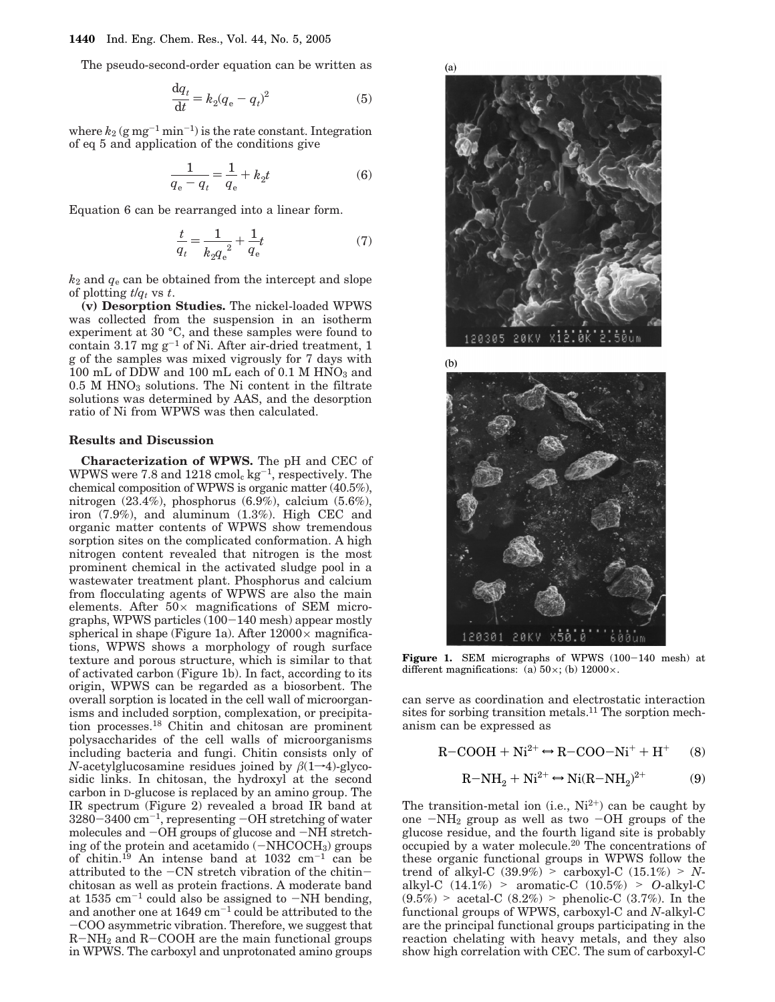The pseudo-second-order equation can be written as

$$
\frac{\mathrm{d}q_t}{\mathrm{d}t} = k_2(q_e - q_t)^2 \tag{5}
$$

where  $k_2$  (g mg<sup>-1</sup> min<sup>-1</sup>) is the rate constant. Integration of eq 5 and application of the conditions give

$$
\frac{1}{q_e - q_t} = \frac{1}{q_e} + k_2 t
$$
 (6)

Equation 6 can be rearranged into a linear form.

$$
\frac{t}{q_t} = \frac{1}{{k_2q_e}^2} + \frac{1}{q_e}t\tag{7}
$$

 $k_2$  and  $q_e$  can be obtained from the intercept and slope of plotting  $t/q_t$  vs  $t$ .

**(v) Desorption Studies.** The nickel-loaded WPWS was collected from the suspension in an isotherm experiment at 30 °C, and these samples were found to contain  $3.17$  mg g<sup>-1</sup> of Ni. After air-dried treatment, 1 g of the samples was mixed vigrously for 7 days with  $100$  mL of DDW and  $100$  mL each of  $0.1$  M  $\rm HNO_3$  and  $0.5$  M HNO<sub>3</sub> solutions. The Ni content in the filtrate solutions was determined by AAS, and the desorption ratio of Ni from WPWS was then calculated.

#### **Results and Discussion**

**Characterization of WPWS.** The pH and CEC of WPWS were 7.8 and  $1218 \text{ cmol}_c \text{ kg}^{-1}$ , respectively. The chemical composition of WPWS is organic matter (40.5%), nitrogen (23.4%), phosphorus (6.9%), calcium (5.6%), iron (7.9%), and aluminum (1.3%). High CEC and organic matter contents of WPWS show tremendous sorption sites on the complicated conformation. A high nitrogen content revealed that nitrogen is the most prominent chemical in the activated sludge pool in a wastewater treatment plant. Phosphorus and calcium from flocculating agents of WPWS are also the main elements. After  $50\times$  magnifications of SEM micrographs, WPWS particles (100-140 mesh) appear mostly spherical in shape (Figure 1a). After  $12000 \times$  magnifications, WPWS shows a morphology of rough surface texture and porous structure, which is similar to that of activated carbon (Figure 1b). In fact, according to its origin, WPWS can be regarded as a biosorbent. The overall sorption is located in the cell wall of microorganisms and included sorption, complexation, or precipitation processes.18 Chitin and chitosan are prominent polysaccharides of the cell walls of microorganisms including bacteria and fungi. Chitin consists only of *N*-acetylglucosamine residues joined by  $\beta(1\rightarrow4)$ -glycosidic links. In chitosan, the hydroxyl at the second carbon in D-glucose is replaced by an amino group. The IR spectrum (Figure 2) revealed a broad IR band at  $3280-3400$  cm<sup>-1</sup>, representing  $-OH$  stretching of water molecules and -OH groups of glucose and -NH stretching of the protein and acetamido (-NHCOCH<sub>3</sub>) groups of chitin.<sup>19</sup> An intense band at 1032 cm<sup>-1</sup> can be attributed to the -CN stretch vibration of the chitinchitosan as well as protein fractions. A moderate band at  $1535 \text{ cm}^{-1}$  could also be assigned to  $-NH$  bending, and another one at  $1649 \text{ cm}^{-1}$  could be attributed to the -COO asymmetric vibration. Therefore, we suggest that  $R-NH<sub>2</sub>$  and  $R-COOH$  are the main functional groups in WPWS. The carboxyl and unprotonated amino groups





Figure 1. SEM micrographs of WPWS (100-140 mesh) at different magnifications: (a)  $50 \times$ ; (b)  $12000 \times$ .

can serve as coordination and electrostatic interaction sites for sorbing transition metals.<sup>11</sup> The sorption mechanism can be expressed as

$$
R-COOH + Ni^{2+} \leftrightarrow R-COO-Ni^{+} + H^{+}
$$
 (8)

$$
R-NH_2 + Ni^{2+} \leftrightarrow Ni(R-NH_2)^{2+} \tag{9}
$$

The transition-metal ion (i.e.,  $Ni^{2+}$ ) can be caught by one  $-NH_2$  group as well as two  $-OH$  groups of the glucose residue, and the fourth ligand site is probably occupied by a water molecule.20 The concentrations of these organic functional groups in WPWS follow the trend of alkyl-C  $(39.9\%)$  > carboxyl-C  $(15.1\%)$  > *N*-<br>alkyl-C  $(14.1\%)$  > aromatic-C  $(10.5\%)$  > *O*-alkyl-C  $(9.5\%)$  > acetal-C  $(8.2\%)$  > phenolic-C  $(3.7\%)$ . In the (9.5%) > acetal-C (8.2%) > phenolic-C (3.7%). In the functional groups of WPWS, carboxyl-C and *N*-alkyl-C are the principal functional groups participating in the reaction chelating with heavy metals, and they also show high correlation with CEC. The sum of carboxyl-C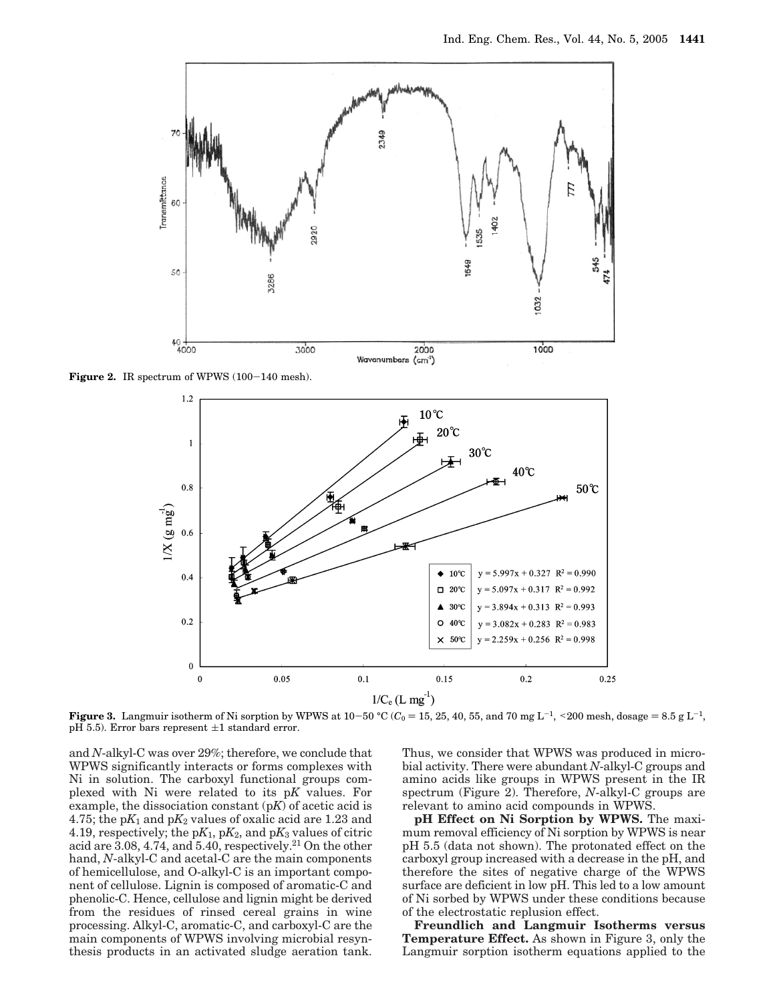

Figure 2. IR spectrum of WPWS (100-140 mesh).



**Figure 3.** Langmuir isotherm of Ni sorption by WPWS at  $10-50$  °C ( $C_0 = 15$ , 25, 40, 55, and 70 mg L<sup>-1</sup>, <200 mesh, dosage = 8.5 g L<sup>-1</sup>, pH 5.5). Error bars represent  $\pm 1$  standard error.

and *N*-alkyl-C was over 29%; therefore, we conclude that WPWS significantly interacts or forms complexes with Ni in solution. The carboxyl functional groups complexed with Ni were related to its p*K* values. For example, the dissociation constant (p*K*) of acetic acid is 4.75; the  $pK_1$  and  $pK_2$  values of oxalic acid are 1.23 and 4.19, respectively; the  $pK_1$ ,  $pK_2$ , and  $pK_3$  values of citric acid are 3.08, 4.74, and 5.40, respectively.21 On the other hand, *N*-alkyl-C and acetal-C are the main components of hemicellulose, and O-alkyl-C is an important component of cellulose. Lignin is composed of aromatic-C and phenolic-C. Hence, cellulose and lignin might be derived from the residues of rinsed cereal grains in wine processing. Alkyl-C, aromatic-C, and carboxyl-C are the main components of WPWS involving microbial resynthesis products in an activated sludge aeration tank.

Thus, we consider that WPWS was produced in microbial activity. There were abundant *N*-alkyl-C groups and amino acids like groups in WPWS present in the IR spectrum (Figure 2). Therefore, *N*-alkyl-C groups are relevant to amino acid compounds in WPWS.

**pH Effect on Ni Sorption by WPWS.** The maximum removal efficiency of Ni sorption by WPWS is near pH 5.5 (data not shown). The protonated effect on the carboxyl group increased with a decrease in the pH, and therefore the sites of negative charge of the WPWS surface are deficient in low pH. This led to a low amount of Ni sorbed by WPWS under these conditions because of the electrostatic replusion effect.

**Freundlich and Langmuir Isotherms versus Temperature Effect.** As shown in Figure 3, only the Langmuir sorption isotherm equations applied to the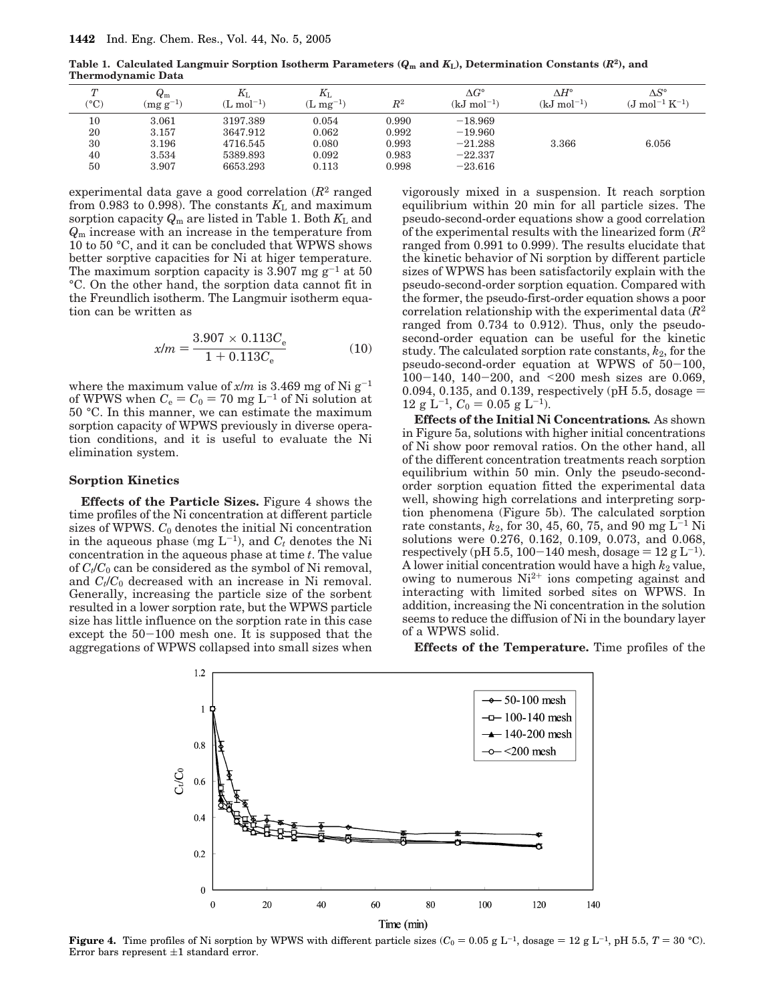**Table 1. Calculated Langmuir Sorption Isotherm Parameters (***Q***<sup>m</sup> and** *K***L), Determination Constants (***R***2), and Thermodynamic Data**

| $\sqrt{ }$<br>$(^\circ C)$ | $Q_{\rm m}$<br>$(mg g^{-1})$ | $K_{\mathrm{L}}$<br>$(L \mod^{-1})$ | $K_{\rm L}$<br>$\rm(L~mg^{-1})$ | $R^2$ | $\Lambda G^{\circ}$<br>$(kJ \text{ mol}^{-1})$ | $\wedge H^\circ$<br>$(kJ \text{ mol}^{-1})$ | $\Delta S^\circ$<br>$(J \text{ mol}^{-1} \text{ K}^{-1})$ |
|----------------------------|------------------------------|-------------------------------------|---------------------------------|-------|------------------------------------------------|---------------------------------------------|-----------------------------------------------------------|
| 10                         | 3.061                        | 3197.389                            | 0.054                           | 0.990 | $-18.969$                                      |                                             |                                                           |
| 20                         | 3.157                        | 3647.912                            | 0.062                           | 0.992 | $-19.960$                                      |                                             |                                                           |
| 30                         | 3.196                        | 4716.545                            | 0.080                           | 0.993 | $-21.288$                                      | 3.366                                       | 6.056                                                     |
| 40                         | 3.534                        | 5389.893                            | 0.092                           | 0.983 | $-22.337$                                      |                                             |                                                           |
| 50                         | 3.907                        | 6653.293                            | 0.113                           | 0.998 | $-23.616$                                      |                                             |                                                           |

experimental data gave a good correlation (*R*<sup>2</sup> ranged from 0.983 to 0.998). The constants  $K<sub>L</sub>$  and maximum sorption capacity  $Q_m$  are listed in Table 1. Both  $K_L$  and *Q*<sup>m</sup> increase with an increase in the temperature from 10 to 50 °C, and it can be concluded that WPWS shows better sorptive capacities for Ni at higer temperature. The maximum sorption capacity is 3.907 mg  $g^{-1}$  at 50 °C. On the other hand, the sorption data cannot fit in the Freundlich isotherm. The Langmuir isotherm equation can be written as

$$
x/m = \frac{3.907 \times 0.113 C_{\rm e}}{1 + 0.113 C_{\rm e}} \tag{10}
$$

where the maximum value of  $x/m$  is 3.469 mg of Ni  $g^{-1}$ of WPWS when  $C_e = C_0 = 70$  mg L<sup>-1</sup> of Ni solution at 50 °C. In this manner, we can estimate the maximum sorption capacity of WPWS previously in diverse operation conditions, and it is useful to evaluate the Ni elimination system.

#### **Sorption Kinetics**

**Effects of the Particle Sizes.** Figure 4 shows the time profiles of the Ni concentration at different particle sizes of WPWS. *C*<sup>0</sup> denotes the initial Ni concentration in the aqueous phase (mg  $L^{-1}$ ), and  $C_t$  denotes the Ni concentration in the aqueous phase at time *t*. The value of  $C_t/C_0$  can be considered as the symbol of Ni removal, and  $C_t/C_0$  decreased with an increase in Ni removal. Generally, increasing the particle size of the sorbent resulted in a lower sorption rate, but the WPWS particle size has little influence on the sorption rate in this case except the 50-100 mesh one. It is supposed that the aggregations of WPWS collapsed into small sizes when vigorously mixed in a suspension. It reach sorption equilibrium within 20 min for all particle sizes. The pseudo-second-order equations show a good correlation of the experimental results with the linearized form (*R*<sup>2</sup> ranged from 0.991 to 0.999). The results elucidate that the kinetic behavior of Ni sorption by different particle sizes of WPWS has been satisfactorily explain with the pseudo-second-order sorption equation. Compared with the former, the pseudo-first-order equation shows a poor correlation relationship with the experimental data (*R*<sup>2</sup> ranged from 0.734 to 0.912). Thus, only the pseudosecond-order equation can be useful for the kinetic study. The calculated sorption rate constants, *k*2, for the pseudo-second-order equation at WPWS of 50-100, <sup>100</sup>-140, 140-200, and <200 mesh sizes are 0.069, 0.094, 0.135, and 0.139, respectively (pH 5.5, dosage  $=$  $12 \text{ g L}^{-1}$ ,  $C_0 = 0.05 \text{ g L}^{-1}$ .

**Effects of the Initial Ni Concentrations***.* As shown in Figure 5a, solutions with higher initial concentrations of Ni show poor removal ratios. On the other hand, all of the different concentration treatments reach sorption equilibrium within 50 min. Only the pseudo-secondorder sorption equation fitted the experimental data well, showing high correlations and interpreting sorption phenomena (Figure 5b). The calculated sorption rate constants,  $k_2$ , for 30, 45, 60, 75, and 90 mg L<sup>-1</sup> Ni solutions were 0.276, 0.162, 0.109, 0.073, and 0.068, respectively (pH 5.5, 100-140 mesh, dosage =  $12 \text{ g L}^{-1}$ ). A lower initial concentration would have a high  $k_2$  value, owing to numerous  $Ni^{2+}$  ions competing against and interacting with limited sorbed sites on WPWS. In addition, increasing the Ni concentration in the solution seems to reduce the diffusion of Ni in the boundary layer of a WPWS solid.

**Effects of the Temperature.** Time profiles of the



**Figure 4.** Time profiles of Ni sorption by WPWS with different particle sizes  $(C_0 = 0.05 \text{ g L}^{-1})$ , dosage  $= 12 \text{ g L}^{-1}$ , pH 5.5,  $T = 30 \text{ °C}$ ). Error bars represent  $\pm 1$  standard error.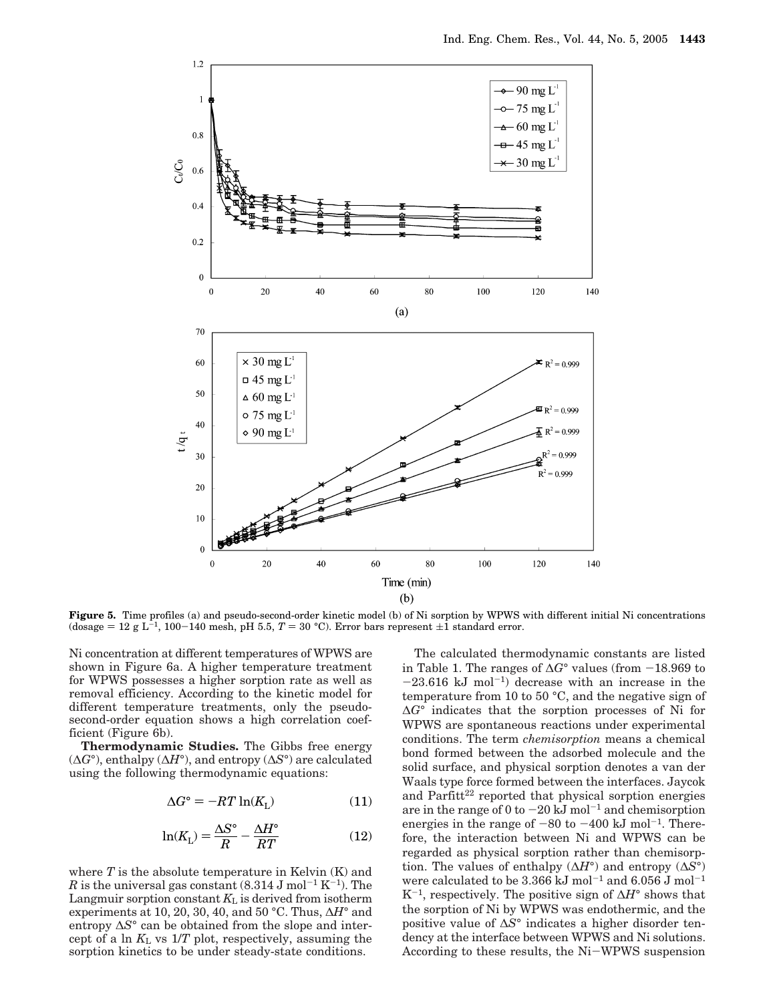

**Figure 5.** Time profiles (a) and pseudo-second-order kinetic model (b) of Ni sorption by WPWS with different initial Ni concentrations (dosage = 12 g L<sup>-1</sup>, 100-140 mesh, pH 5.5,  $T = 30$  °C). Error bars represent  $\pm 1$  standard error.

Ni concentration at different temperatures of WPWS are shown in Figure 6a. A higher temperature treatment for WPWS possesses a higher sorption rate as well as removal efficiency. According to the kinetic model for different temperature treatments, only the pseudosecond-order equation shows a high correlation coefficient (Figure 6b).

**Thermodynamic Studies.** The Gibbs free energy (∆*G*°), enthalpy (∆*H*°), and entropy (∆*S*°) are calculated using the following thermodynamic equations:

$$
\Delta G^{\circ} = -RT \ln(K_{\rm L}) \tag{11}
$$

$$
\ln(K_{\rm L}) = \frac{\Delta S^{\circ}}{R} - \frac{\Delta H^{\circ}}{RT}
$$
 (12)

where  $T$  is the absolute temperature in Kelvin  $(K)$  and *R* is the universal gas constant  $(8.314 \text{ J mol}^{-1} \text{ K}^{-1})$ . The Langmuir sorption constant  $K<sub>L</sub>$  is derived from isotherm experiments at 10, 20, 30, 40, and 50 °C. Thus, ∆*H*° and entropy ∆*S*° can be obtained from the slope and intercept of a  $\ln K_L$  vs  $1/T$  plot, respectively, assuming the sorption kinetics to be under steady-state conditions.

The calculated thermodynamic constants are listed in Table 1. The ranges of <sup>∆</sup>*G*° values (from -18.969 to  $-23.616$  kJ mol<sup>-1</sup>) decrease with an increase in the temperature from 10 to 50 °C, and the negative sign of ∆*G*° indicates that the sorption processes of Ni for WPWS are spontaneous reactions under experimental conditions. The term *chemisorption* means a chemical bond formed between the adsorbed molecule and the solid surface, and physical sorption denotes a van der Waals type force formed between the interfaces. Jaycok and Parfitt<sup>22</sup> reported that physical sorption energies are in the range of 0 to  $-20 \text{ kJ}$  mol<sup>-1</sup> and chemisorption energies in the range of  $-80$  to  $-400$  kJ mol<sup>-1</sup>. Therefore, the interaction between Ni and WPWS can be regarded as physical sorption rather than chemisorption. The values of enthalpy (∆*H*°) and entropy (∆*S*°) were calculated to be 3.366 kJ mol<sup>-1</sup> and  $6.056$  J mol<sup>-1</sup> K-1, respectively. The positive sign of ∆*H*° shows that the sorption of Ni by WPWS was endothermic, and the positive value of ∆*S*° indicates a higher disorder tendency at the interface between WPWS and Ni solutions. According to these results, the Ni-WPWS suspension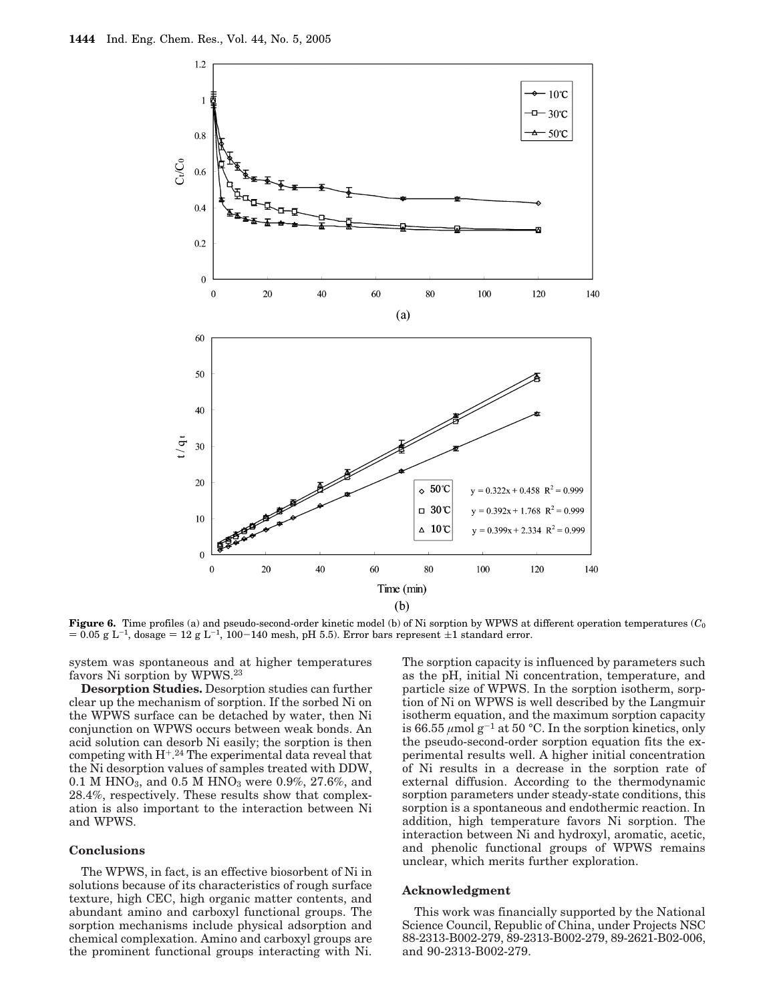

**Figure 6.** Time profiles (a) and pseudo-second-order kinetic model (b) of Ni sorption by WPWS at different operation temperatures ( $C_0$ )  $= 0.05$  g L<sup>-1</sup>, dosage  $= 12$  g L<sup>-1</sup>, 100-140 mesh, pH 5.5). Error bars represent  $\pm 1$  standard error.

system was spontaneous and at higher temperatures favors Ni sorption by WPWS.23

**Desorption Studies.** Desorption studies can further clear up the mechanism of sorption. If the sorbed Ni on the WPWS surface can be detached by water, then Ni conjunction on WPWS occurs between weak bonds. An acid solution can desorb Ni easily; the sorption is then competing with H+. <sup>24</sup> The experimental data reveal that the Ni desorption values of samples treated with DDW, 0.1 M HNO<sub>3</sub>, and 0.5 M HNO<sub>3</sub> were 0.9%, 27.6%, and 28.4%, respectively. These results show that complexation is also important to the interaction between Ni and WPWS.

#### **Conclusions**

The WPWS, in fact, is an effective biosorbent of Ni in solutions because of its characteristics of rough surface texture, high CEC, high organic matter contents, and abundant amino and carboxyl functional groups. The sorption mechanisms include physical adsorption and chemical complexation. Amino and carboxyl groups are the prominent functional groups interacting with Ni. The sorption capacity is influenced by parameters such as the pH, initial Ni concentration, temperature, and particle size of WPWS. In the sorption isotherm, sorption of Ni on WPWS is well described by the Langmuir isotherm equation, and the maximum sorption capacity is 66.55  $\mu$ mol g<sup>-1</sup> at 50 °C. In the sorption kinetics, only the pseudo-second-order sorption equation fits the experimental results well. A higher initial concentration of Ni results in a decrease in the sorption rate of external diffusion. According to the thermodynamic sorption parameters under steady-state conditions, this sorption is a spontaneous and endothermic reaction. In addition, high temperature favors Ni sorption. The interaction between Ni and hydroxyl, aromatic, acetic, and phenolic functional groups of WPWS remains unclear, which merits further exploration.

#### **Acknowledgment**

This work was financially supported by the National Science Council, Republic of China, under Projects NSC 88-2313-B002-279, 89-2313-B002-279, 89-2621-B02-006, and 90-2313-B002-279.